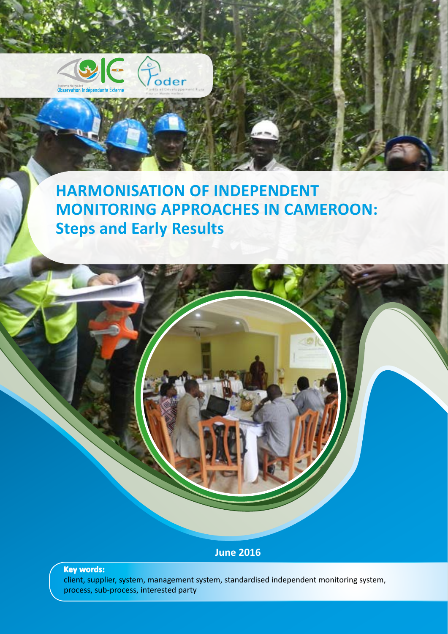



## **HARMONISATION OF INDEPENDENT MONITORING APPROACHES IN CAMEROON: Steps and Early Results**

## **June 2016**

### **Key words:**

client, supplier, system, management system, standardised independent monitoring system, process, sub-process, interested party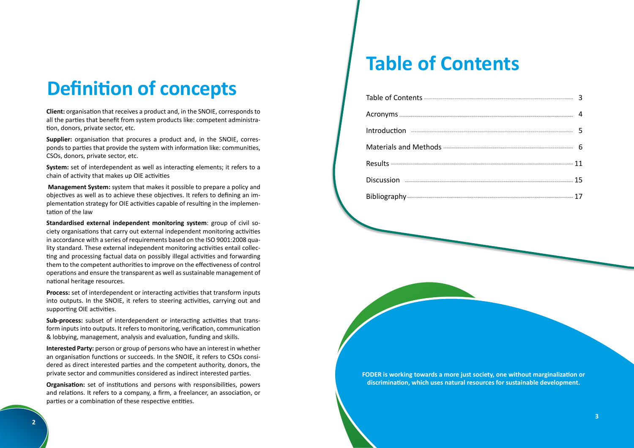**FODER is working towards a more just society, one without marginalization or discrimination, which uses natural resources for sustainable development.**

**Client:** organisation that receives a product and, in the SNOIE, corresponds to all the parties that benefit from system products like: competent administration, donors, private sector, etc.

**Supplier:** organisation that procures a product and, in the SNOIE, corresponds to parties that provide the system with information like: communities, CSOs, donors, private sector, etc.

**System:** set of interdependent as well as interacting elements; it refers to a chain of activity that makes up OIE activities

 **Management System:** system that makes it possible to prepare a policy and objectives as well as to achieve these objectives. It refers to defining an implementation strategy for OIE activities capable of resulting in the implementation of the law

**Standardised external independent monitoring system**: group of civil society organisations that carry out external independent monitoring activities in accordance with a series of requirements based on the ISO 9001:2008 quality standard. These external independent monitoring activities entail collecting and processing factual data on possibly illegal activities and forwarding them to the competent authorities to improve on the effectiveness of control operations and ensure the transparent as well as sustainable management of national heritage resources.

**Process:** set of interdependent or interacting activities that transform inputs into outputs. In the SNOIE, it refers to steering activities, carrying out and supporting OIE activities.

**Sub-process:** subset of interdependent or interacting activities that transform inputs into outputs. It refers to monitoring, verification, communication & lobbying, management, analysis and evaluation, funding and skills.

**Interested Party:** person or group of persons who have an interest in whether an organisation functions or succeeds. In the SNOIE, it refers to CSOs considered as direct interested parties and the competent authority, donors, the private sector and communities considered as indirect interested parties.

**Organisation:** set of institutions and persons with responsibilities, powers and relations. It refers to a company, a firm, a freelancer, an association, or parties or a combination of these respective entities.

Table of Contents 3 Acronyms 4 Introduction 5 Materials and Methods 6 Results 11 Discussion 15 Bibliography 17

## **Definition of concepts**

## **Table of Contents**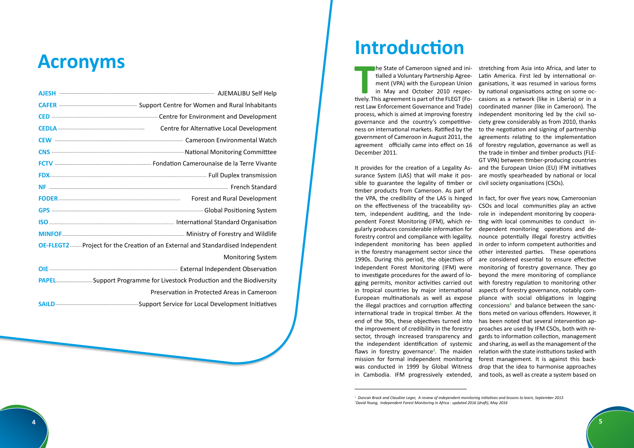

| AJESH <b>MALIBU Self Help</b>                                                                                                                                                                                                        |
|--------------------------------------------------------------------------------------------------------------------------------------------------------------------------------------------------------------------------------------|
| CAFER <b>Manual CAFER</b> 2014 Million Support Centre for Women and Rural Inhabitants                                                                                                                                                |
|                                                                                                                                                                                                                                      |
| Centre for Alternative Local Development                                                                                                                                                                                             |
|                                                                                                                                                                                                                                      |
|                                                                                                                                                                                                                                      |
|                                                                                                                                                                                                                                      |
|                                                                                                                                                                                                                                      |
|                                                                                                                                                                                                                                      |
| FODER <b>Manual Contract Contract Contract Contract Contract Contract Contract Contract Contract Contract Contract Contract Contract Contract Contract Contract Contract Contract Contract Contract Contract Contract Contract C</b> |
|                                                                                                                                                                                                                                      |
|                                                                                                                                                                                                                                      |
|                                                                                                                                                                                                                                      |
| OE-FLEGT2  Project for the Creation of an External and Standardised Independent                                                                                                                                                      |
| <b>Monitoring System</b>                                                                                                                                                                                                             |
|                                                                                                                                                                                                                                      |
| <b>PAPEL Example 2018</b> Support Programme for Livestock Production and the Biodiversity                                                                                                                                            |
| Preservation in Protected Areas in Cameroon                                                                                                                                                                                          |
|                                                                                                                                                                                                                                      |
|                                                                                                                                                                                                                                      |

# **Acronyms Introduction**

**THE STATE OF CAME CONFORM STATE STATE STATE CONFIDENCE (THE THEORY OF THE MAY and October 2010 respectively. This agreement is part of the FLEGT (Fo**he State of Cameroon signed and initialled a Voluntary Partnership Agreement (VPA) with the European Union in May and October 2010 respecrest Law Enforcement Governance and Trade) process, which is aimed at improving forestry governance and the country's competitiveness on international markets. Ratified by the government of Cameroon in August 2011, the agreement officially came into effect on 16 December 2011. It provides for the creation of a Legality Asstretching from Asia into Africa, and later to Latin America. First led by international organisations, it was resumed in various forms by national organisations acting on some occasions as a network (like in Liberia) or in a coordinated manner (like in Cameroon). The independent monitoring led by the civil society grew considerably as from 2010, thanks to the negotiation and signing of partnership agreements relating to the implementation of forestry regulation, governance as well as the trade in timber and timber products (FLE-GT VPA) between timber-producing countries and the European Union (EU) IFM initiatives are mostly spearheaded by national or local civil society organisations (CSOs).

surance System (LAS) that will make it possible to guarantee the legality of timber or timber products from Cameroon. As part of the VPA, the credibility of the LAS is hinged on the effectiveness of the traceability system, independent auditing, and the Independent Forest Monitoring (IFM), which regularly produces considerable information for forestry control and compliance with legality. Independent monitoring has been applied in the forestry management sector since the 1990s. During this period, the objectives of Independent Forest Monitoring (IFM) were to investigate procedures for the award of logging permits, monitor activities carried out in tropical countries by major international European multinationals as well as expose the illegal practices and corruption affecting international trade in tropical timber. At the end of the 90s, these objectives turned into the improvement of credibility in the forestry sector, through increased transparency and the independent identification of systemic flaws in forestry governance**<sup>2</sup>** . The maiden mission for formal independent monitoring was conducted in 1999 by Global Witness in Cambodia. IFM progressively extended, In fact, for over five years now, Cameroonian CSOs and local communities play an active role in independent monitoring by cooperating with local communities to conduct independent monitoring operations and denounce potentially illegal forestry activities in order to inform competent authorities and other interested parties. These operations are considered essential to ensure effective monitoring of forestry governance. They go beyond the mere monitoring of compliance with forestry regulation to monitoring other aspects of forestry governance, notably compliance with social obligations in logging concessions**<sup>2</sup>** and balance between the sanctions meted on various offenders. However, it has been noted that several intervention approaches are used by IFM CSOs, both with regards to information collection, management and sharing, as well as the management of the relation with the state institutions tasked with forest management. It is against this backdrop that the idea to harmonise approaches and tools, as well as create a system based on

**<sup>1</sup>**  *Duncan Brack and Claudine Leger, A review of independent monitoring initiatives and lessons to learn, September 2013* **2** *David Young, Independent Forest Monitoring in Africa : updated 2016 (draft), May 2016*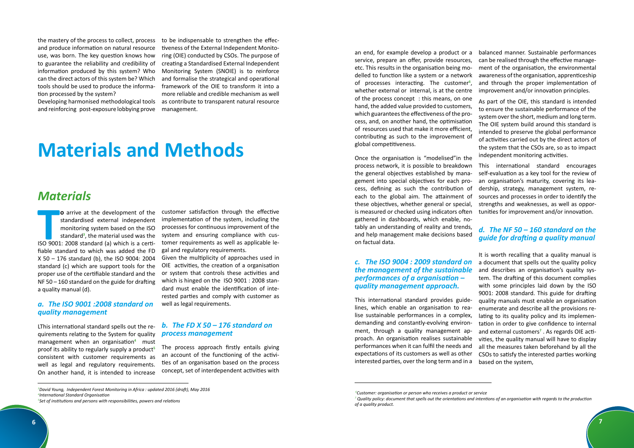the mastery of the process to collect, process and produce information on natural resource use, was born. The key question knows how information produced by this system? Who can the direct actors of this system be? Which tools should be used to produce the information processed by the system?

and reinforcing post-exposure lobbying prove

to guarantee the reliability and credibility of creating a Standardised External Independent Developing harmonised methodological tools as contribute to transparent natural resource to be indispensable to strengthen the effectiveness of the External Independent Monitoring (OIE) conducted by CSOs. The purpose of Monitoring System (SNOIE) is to reinforce and formalise the strategical and operational framework of the OIE to transform it into a more reliable and credible mechanism as well management.

**THE CONFIDENTIFY CONTROLLED STATES CONFIDENTIFY**<br> **THE STANDARD STANDARD STANDARD STANDARD STANDARD STANDARD STANDARD ISO 9001: 2008 standard (a) which is a certio** arrive at the development of the standardised external independent monitoring system based on the ISO standard**<sup>3</sup>** , the material used was the fiable standard to which was added the FD X 50 – 176 standard (b), the ISO 9004: 2004 standard (c) which are support tools for the proper use of the certifiable standard and the NF 50 – 160 standard on the guide for drafting a quality manual (d).

## *Materials*

### *a. The ISO 9001 :2008 standard on quality management*

LThis international standard spells out the requirements relating to the System for quality management when an organisation**<sup>4</sup>** must proof its ability to regularly supply a product**<sup>5</sup>** consistent with customer requirements as well as legal and regulatory requirements. On another hand, it is intended to increase

customer satisfaction through the effective implementation of the system, including the processes for continuous improvement of the system and ensuring compliance with customer requirements as well as applicable legal and regulatory requirements.

Given the multiplicity of approaches used in OIE activities, the creation of a organisation or system that controls these activities and which is hinged on the ISO 9001 : 2008 standard must enable the identification of interested parties and comply with customer as well as legal requirements.

## *b. The FD X 50 – 176 standard on process management*

The process approach firstly entails giving an account of the functioning of the activities of an organisation based on the process concept, set of interdependent activities with

## **Materials and Methods**

an end, for example develop a product or a service, prepare an offer, provide resources, etc. This results in the organisation being modelled to function like a system or a network of processes interacting. The customer**<sup>6</sup>** , whether external or internal, is at the centre of the process concept : this means, on one hand, the added value provided to customers, which guarantees the effectiveness of the process, and, on another hand, the optimisation of resources used that make it more efficient, contributing as such to the improvement of global competitiveness.

Once the organisation is "modelised"in the process network, it is possible to breakdown the general objectives established by management into special objectives for each process, defining as such the contribution of each to the global aim. The attainment of these objectives, whether general or special, is measured or checked using indicators often gathered in dashboards, which enable, notably an understanding of reality and trends, and help management make decisions based on factual data. This international standard encourages self-evaluation as a key tool for the review of an organisation's maturity, covering its leadership, strategy, management system, resources and processes in order to identify the strengths and weaknesses, as well as opportunities for improvement and/or innovation. *d. The NF 50 – 160 standard on the guide for drafting a quality manual*

balanced manner. Sustainable performances can be realised through the effective management of the organisation, the environmental awareness of the organisation, apprenticeship and through the proper implementation of improvement and/or innovation principles.

As part of the OIE, this standard is intended to ensure the sustainable performance of the system over the short, medium and long term. The OIE system build around this standard is intended to preserve the global performance of activities carried out by the direct actors of the system that the CSOs are, so as to impact independent monitoring activities.

*c. The ISO 9004 : 2009 standard on the management of the sustainable performances of a organisation – quality management approach.* This international standard provides guidelines, which enable an organisation to realise sustainable performances in a complex, demanding and constantly-evolving environment, through a quality management approach. An organisation realises sustainable performances when it can fulfil the needs and expectations of its customers as well as other interested parties, over the long term and in a It is worth recalling that a quality manual is a document that spells out the quality policy and describes an organisation's quality system. The drafting of this document complies with some principles laid down by the ISO 9001: 2008 standard. This guide for drafting quality manuals must enable an organisation enumerate and describe all the provisions relating to its quality policy and its implementation in order to give confidence to internal and external customers**<sup>7</sup>** . As regards OIE activities, the quality manual will have to display all the measures taken beforehand by all the CSOs to satisfy the interested parties working based on the system,

*<sup>3</sup> David Young, Independent Forest Monitoring in Africa : updated 2016 (draft), May 2016 4 International Standard Organisation*

*<sup>5</sup> Set of institutions and persons with responsibilities, powers and relations*

 *<sup>6</sup>Customer: organisation or person who receives a product or service 7 Quality policy: document that spells out the orientations and intentions of an organisation with regards to the production of a quality product.*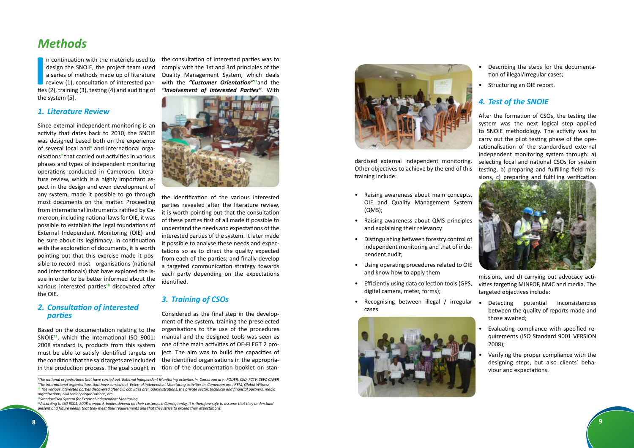

## *Methods*

**I**<br>**I**<br>**I**<br>**I**<br>**I** n continuation with the matériels used to design the SNOIE, the project team used review (1), consultation of interested parties (2), training (3), testing (4) and auditing of the system (5).

## *1. Literature Review*

Since external independent monitoring is an activity that dates back to 2010, the SNOIE was designed based both on the experience of several local and<sup>8</sup> and international organisations**<sup>9</sup>** that carried out activities in various phases and types of independent monitoring operations conducted in Cameroon. Literature review, which is a highly important aspect in the design and even development of any system, made it possible to go through most documents on the matter. Proceeding from international instruments ratified by Cameroon, including national laws for OIE, it was possible to establish the legal foundations of External Independent Monitoring (OIE) and be sure about its legitimacy. In continuation with the exploration of documents, it is worth pointing out that this exercise made it possible to record most organisations (national and internationals) that have explored the issue in order to be better informed about the various interested parties**10** discovered after the OIE.

a series of methods made up of literature Quality Management System, which deals the consultation of interested parties was to comply with the 1st and 3rd principles of the with the *"Customer Orientation"***12**and the *"Involvement of interested Parties"*. With



## *2. Consultation of interested parties*

Based on the documentation relating to the SNOIE**11**, which the International ISO 9001: 2008 standard is, products from this system must be able to satisfy identified targets on the condition that the said targets are included in the production process. The goal sought in

the identification of the various interested parties revealed after the literature review, it is worth pointing out that the consultation of these parties first of all made it possible to understand the needs and expectations of the interested parties of the system. It later made it possible to analyse these needs and expectations so as to direct the quality expected from each of the parties; and finally develop a targeted communication strategy towards each party depending on the expectations identified.

### *3. Training of CSOs*

Considered as the final step in the development of the system, training the preselected organisations to the use of the procedures manual and the designed tools was seen as one of the main activities of OE-FLEGT 2 project. The aim was to build the capacities of the identified organisations in the appropriation of the documentation booklet on stan-

![](_page_4_Picture_14.jpeg)

- Raising awareness about main concepts, OIE and Quality Management System (QMS);
- Raising awareness about QMS principles and explaining their relevancy
- Distinguishing between forestry control of independent monitoring and that of independent audit;
- Using operating procedures related to OIE and know how to apply them
- Efficiently using data collection tools (GPS, digital camera, meter, forms);
- Recognising between illegal / irregular · Detecting potential inconsistencies cases

![](_page_4_Picture_22.jpeg)

dardised external independent monitoring. Other objectives to achieve by the end of this training include: After the formation of CSOs, the testing the system was the next logical step applied to SNOIE methodology. The activity was to carry out the pilot testing phase of the operationalisation of the standardised external independent monitoring system through: a) selecting local and national CSOs for system testing, b) preparing and fulfilling field missions, c) preparing and fulfilling verification

- Describing the steps for the documentation of illegal/irregular cases;
- Structuring an OIE report.

## *4. Test of the SNOIE*

![](_page_4_Picture_27.jpeg)

missions, and d) carrying out advocacy activities targeting MINFOF, NMC and media. The targeted objectives include:

- between the quality of reports made and those awaited;
- Evaluating compliance with specified requirements (ISO Standard 9001 VERSION 2008);
- Verifying the proper compliance with the designing steps, but also clients' behaviour and expectations.

**<sup>8</sup>** *The national organisations that have carried out External Independent Monitoring activities in Cameroon are : FODER, CED, FCTV, CEW, CAFER* **9** *The international organisations that have carried out External Independent Monitoring activities in Cameroon are : REM, Global Witness* **<sup>10</sup>** *The various interested parties discovered after OIE activities are: administrations, the private sector, technical and financial partners, media organisations, civil society organisations, etc.*

**<sup>11</sup>***Standardised System for External Independent Monitoring*

**<sup>12</sup>***According to ISO 9001: 2008 standard, bodies depend on their customers. Consequently, it is therefore safe to assume that they understand present and future needs, that they meet their requirements and that they strive to exceed their expectations.*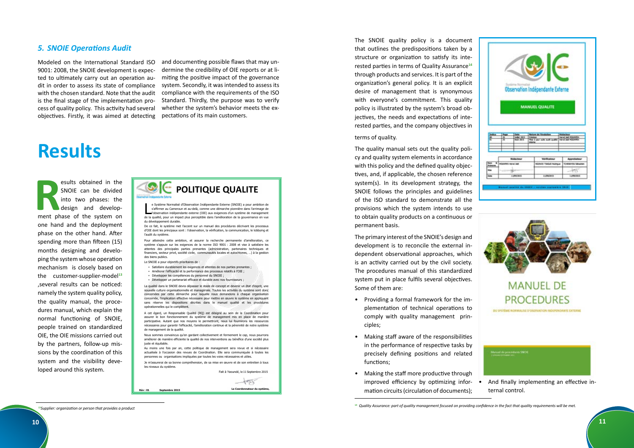|                         |             |  | Observation Indépendante Externe<br><b>MANUEL QUALITE</b> |                                  |
|-------------------------|-------------|--|-----------------------------------------------------------|----------------------------------|
|                         |             |  |                                                           |                                  |
|                         |             |  |                                                           |                                  |
|                         | Rédectional |  | <b>Weitficateur</b>                                       |                                  |
| <b>HOUSING HAVALENE</b> |             |  | <b>NUOVED TIMES Ratings</b>                               | Approbateur<br>TCHEM-OM Milaclan |
|                         |             |  |                                                           | 织物                               |

### *5. SNOIE Operations Audit*

Modeled on the International Standard ISO 9001: 2008, the SNOIE development is expected to ultimately carry out an operation audit in order to assess its state of compliance with the chosen standard. Note that the audit is the final stage of the implementation process of quality policy. This activity had several objectives. Firstly, it was aimed at detecting

and documenting possible flaws that may undermine the credibility of OIE reports or at limiting the positive impact of the governance system. Secondly, it was intended to assess its compliance with the requirements of the ISO Standard. Thirdly, the purpose was to verify whether the system's behavior meets the expectations of its main customers.

esults obtained in the<br>SNOIE can be divided<br>into two phases: the<br>design and develop-<br>ment phase of the system on SNOIE can be divided into two phases: the design and development phase of the system on one hand and the deployment phase on the other hand. After spending more than fifteen (15) months designing and developing the system whose operation mechanism is closely based on the customer-supplier-model<sup>13</sup> ,several results can be noticed: namely the system quality policy, the quality manual, the procedures manual, which explain the normal functioning of SNOIE, people trained on standardized OIE, the OIE missions carried out by the partners, follow-up missions by the coordination of this system and the visibility developed around this system.

## **Results**

The SNOIE quality policy is a document that outlines the predispositions taken by a structure or organization to satisfy its interested parties in terms of Quality Assurance**<sup>14</sup>** through products and services. It is part of the organization's general policy. It is an explicit desire of management that is synonymous with everyone's commitment. This quality policy is illustrated by the system's broad objectives, the needs and expectations of interested parties, and the company objectives in

- Satisfaire durablement les exigences et attentes de nos parties prenantes ;
- Améliorer l'efficacité et la performance des processus relatifs à l'OIE ;
- Développer les compétences du personnel du SNOIE ;
- » Développer un partenariat efficace et durable avec nos four

Nous sommes convaincus qu'en gardant collectivement et fermement le cap, nous pourrons améliorer de manière efficiente la qualité de nos interventions au bénéfice d'une société plus juste et équitable

e Système Normalisé d'Observation Indépendante Externe (SNOIE) a pour ambition de s'affirmer au Cameroun et au-delà, comme une démarche pionnière dans l'arrimage de l'observation indépendante externe (OIE) aux exigences d'un système de management e Système Normalisé d'Observation Indépendante Externe (SNOIE) a pour ambition de s'affirmer au Cameroun et au-delà, comme une démarche pionnière dans l'arrimage de l'observation indépendante externe (OIE) aux exigences d' du développement durable.

De ce fait, le système met l'accent sur un manuel des procédures décrivant les processus d'OIE dont les principaux sont : l'observation, la vérification, la communication, le lobbying et l'audit du système.

The quality manual sets out the quality policy and quality system elements in accordance with this policy and the defined quality objectives, and, if applicable, the chosen reference system(s). In its development strategy, the SNOIE follows the principles and guidelines of the ISO standard to demonstrate all the provisions which the system intends to use to obtain quality products on a continuous or permanent basis.

Pour atteindre cette ambition, et assurer la recherche permanente d'amélioration, ce système s'appuie sur les exigences de la norme ISO 9001 : 2008 et vise à satisfaire les attentes des principales parties prenantes (administration, partenaires techniques et financiers, secteur privé, société civile, communautés locales et autochtones. ) à la gestion des biens publics.

Le SNOIE a pour objectifs prioritaires de :

La qualité dans le SNOIE devra dépasser le stade de concept et devenir un état d'esprit, une nouvelle culture organisationnelle et managériale. Toutes les activités du système sont donc concernées par cette démarche pour laquelle nous demandons à chaque organisation concernée, l'implication effective nécessaire pour mettre en œuvre le système en appliquant sans réserve les dispositions décrites dans le manuel qualité et les procédures opérationnelles qui le complètent.

A cet égard, un Responsable Qualité (RQ) est désigné au sein de la Coordination pour assurer le bon fonctionnement du système de management mis en place de manière participative. Autant que nos moyens le permettront, nous lui fournirons les ressources nécessaires pour garantir l'efficacité, l'amélioration continue et la pérennité de notre système de management de la qualité.

Au moins une fois par an, cette politique de management sera revue et si nécessaire actualisée à l'occasion des revues de Coordination. Elle sera communiquée à toutes les personnes ou organisations impliquées par toutes les voies nécessaires et utiles.

Je m'assurerai de sa bonne compréhension, de sa mise en œuvre et de son entretien à tous les niveaux du système.

![](_page_5_Picture_5.jpeg)

**Le Coordonnateur du système, Rév : 01 Septembre <sup>2015</sup>**

Fait à Yaoundé, le 11 Septembre 2015

### terms of quality.

The primary interest of the SNOIE's design and development is to reconcile the external independent observational approaches, which is an activity carried out by the civil society. The procedures manual of this standardized system put in place fulfils several objectives. Some of them are:

- Providing a formal framework for the implementation of technical operations to comply with quality management principles;
- Making staff aware of the responsibilities in the performance of respective tasks by precisely defining positions and related functions;
- Making the staff more productive through improved efficiency by optimizing information circuits (circulation of documents);

![](_page_5_Picture_32.jpeg)

<sup>&</sup>lt;sup>14</sup> Quality Assurance: part of quality management focused on providing confidence in the fact that quality requirements will be met.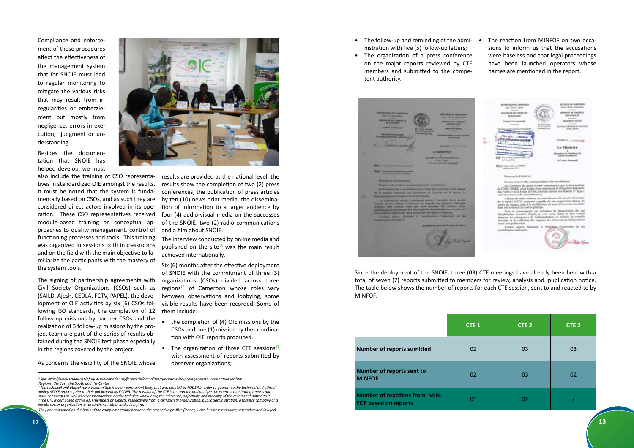Compliance and enforcement of these procedures affect the effectiveness of the management system that for SNOIE must lead to regular monitoring to mitigate the various risks that may result from irregularities or embezzlement but mostly from negligence, errors in execution, judgment or understanding.

Besides the documentation that SNOIE has helped develop, we must

also include the training of CSO representatives in standardized OIE amongst the results. It must be noted that the system is fundamentally based on CSOs, and as such they are considered direct actors involved in its operation. These CSO representatives received module-based training on conceptual approaches to quality management, control of functioning processes and tools. This training was organized in sessions both in classrooms and on the field with the main objective to familiarize the participants with the mastery of the system tools.

The signing of partnership agreements with Civil Society Organizations (CSOs) such as (SAILD, Ajesh, CEDLA, FCTV, PAPEL), the development of OIE activities by six (6) CSOs following ISO standards, the completion of 12 follow-up missions by partner CSOs and the realization of 3 follow-up missions by the project team are part of the series of results obtained during the SNOIE test phase especially in the regions covered by the project.

- The follow-up and reminding of the admi- nistration with five (5) follow-up letters;
- The organization of a press conference on the major reports reviewed by CTE members and submitted to the competent authority.

![](_page_6_Picture_16.jpeg)

The reaction from MINFOF on two occasions to inform us that the accusations were baseless and that legal proceedings have been launched operators whose names are mentioned in the report.

As concerns the visibility of the SNOIE whose

![](_page_6_Picture_5.jpeg)

results are provided at the national level, the results show the completion of two (2) press conferences, the publication of press articles by ten (10) news print media, the dissemination of information to a larger audience by four (4) audio-visual media on the successes of the SNOIE, two (2) radio communications and a film about SNOIE.

The interview conducted by online media and published on the site**15** was the main result achieved internationally.

Six (6) months after the effective deployment of SNOIE with the commitment of three (3) organizations (CSOs) divided across three regions**16** of Cameroon whose roles vary between observations and lobbying, some visible results have been recorded. Some of them include:

- the completion of (4) OIE missions by the CSOs and one (1) mission by the coordination with OIE reports produced.
- The organization of three CTE sessions**<sup>17</sup>** with assessment of reports submitted by observer organizations;

 *They are appointed on the basis of the complementarity between the respective profiles (logger, jurist, business manager, researcher and lawyer).*

|                                                                     | CTE <sub>1</sub> | CTE <sub>2</sub> | CTE <sub>2</sub> |
|---------------------------------------------------------------------|------------------|------------------|------------------|
| <b>Number of reports sumitted</b>                                   | 02               | 03               | 03               |
| Number of reports sent to<br><b>MINFOF</b>                          | 02               | 03               | 02               |
| <b>Number of reactions from MIN-</b><br><b>FOF based on reports</b> | 01               | 02               |                  |

Since the deployment of the SNOIE, three (03) CTE meetings have already been held with a total of seven (7) reports submitted to members for review, analysis and publication notice. The table below shows the number of reports for each CTE session, sent to and reacted to by MINFOF.

**<sup>15</sup>***Site: http://www.scidev.net/afrique-sub-saharienne/foresterie/actualites/q-r-norme-iso-proteger-ressources-naturelles.html Regions: the East, the South and the Centre*

**<sup>16</sup>***The technical and ethical review committee is a non-permanent body that was created by FODER in order to guarantee the technical and ethical quality of OIE reports prior to their publication by FODER. The mission of the CTE is to examine and analyze the external monitoring reports and make comments as well as recommendations on the technical know-how, the relevance, objectivity and morality of the reports submitted to it.*  **<sup>17</sup>***The CTE is composed of five (05) members or experts, respectively from a civil society organization, public administration, a forestry company or a private sector organization, a research institution and a law firm.*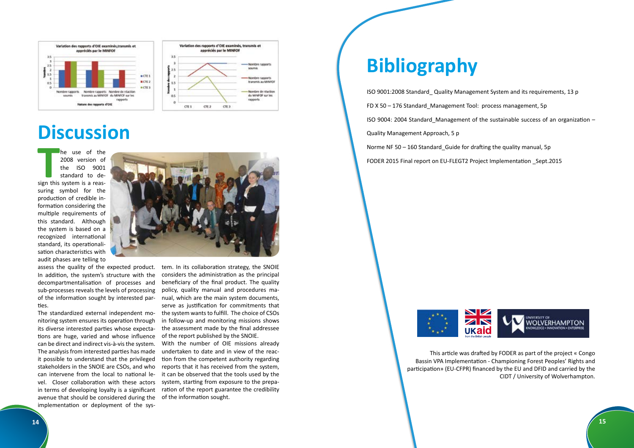![](_page_7_Picture_13.jpeg)

![](_page_7_Figure_0.jpeg)

![](_page_7_Figure_1.jpeg)

## **Discussion**

The use of the<br>
2008 version of<br>
the ISO 9001<br>
standard to de-<br>
sign this system is a reashe use of the 2008 version of the ISO 9001 standard to desuring symbol for the production of credible information considering the multiple requirements of this standard. Although the system is based on a recognized international standard, its operationalisation characteristics with audit phases are telling to

assess the quality of the expected product. In addition, the system's structure with the decompartmentalisation of processes and sub-processes reveals the levels of processing of the information sought by interested parties.

The standardized external independent monitoring system ensures its operation through its diverse interested parties whose expectations are huge, varied and whose influence can be direct and indirect vis-à-vis the system. The analysis from interested parties has made it possible to understand that the privileged stakeholders in the SNOIE are CSOs, and who can intervene from the local to national level. Closer collaboration with these actors in terms of developing loyalty is a significant avenue that should be considered during the of the information sought. implementation or deployment of the sys-

tem. In its collaboration strategy, the SNOIE considers the administration as the principal beneficiary of the final product. The quality policy, quality manual and procedures manual, which are the main system documents, serve as justification for commitments that the system wants to fulfill. The choice of CSOs in follow-up and monitoring missions shows the assessment made by the final addressee of the report published by the SNOIE.

With the number of OIE missions already undertaken to date and in view of the reaction from the competent authority regarding reports that it has received from the system, it can be observed that the tools used by the system, starting from exposure to the preparation of the report guarantee the credibility

## **Bibliography**

ISO 9001:2008 Standard\_ Quality Management System and its requirements, 13 p FD X 50 – 176 Standard\_Management Tool: process management, 5p ISO 9004: 2004 Standard Management of the sustainable success of an organization  $-$ Quality Management Approach, 5 p Norme NF 50 – 160 Standard Guide for drafting the quality manual, 5p FODER 2015 Final report on EU-FLEGT2 Project Implementation \_Sept.2015

![](_page_7_Picture_10.jpeg)

This article was drafted by FODER as part of the project « Congo Bassin VPA Implementation - Championing Forest Peoples' Rights and participation» (EU-CFPR) financed by the EU and DFID and carried by the CIDT / University of Wolverhampton.